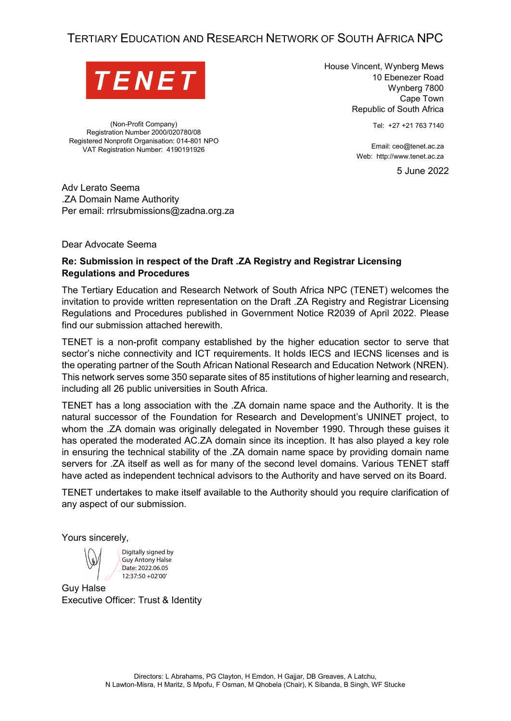# TERTIARY EDUCATION AND RESEARCH NETWORK OF SOUTH AFRICA NPC



(Non-Profit Company) Registration Number 2000/020780/08 Registered Nonprofit Organisation: 014-801 NPO VAT Registration Number: 4190191926

House Vincent, Wynberg Mews 10 Ebenezer Road Wynberg 7800 Cape Town Republic of South Africa

Tel: +27 +21 763 7140

Email: ceo@tenet.ac.za Web: http://www.tenet.ac.za

5 June 2022

Adv Lerato Seema .ZA Domain Name Authority

Per email: rrlrsubmissions@zadna.org.za

Dear Advocate Seema

#### **Re: Submission in respect of the Draft .ZA Registry and Registrar Licensing Regulations and Procedures**

The Tertiary Education and Research Network of South Africa NPC (TENET) welcomes the invitation to provide written representation on the Draft .ZA Registry and Registrar Licensing Regulations and Procedures published in Government Notice R2039 of April 2022. Please find our submission attached herewith.

TENET is a non-profit company established by the higher education sector to serve that sector's niche connectivity and ICT requirements. It holds IECS and IECNS licenses and is the operating partner of the South African National Research and Education Network (NREN). This network serves some 350 separate sites of 85 institutions of higher learning and research, including all 26 public universities in South Africa.

TENET has a long association with the .ZA domain name space and the Authority. It is the natural successor of the Foundation for Research and Development's UNINET project, to whom the .ZA domain was originally delegated in November 1990. Through these guises it has operated the moderated AC.ZA domain since its inception. It has also played a key role in ensuring the technical stability of the .ZA domain name space by providing domain name servers for .ZA itself as well as for many of the second level domains. Various TENET staff have acted as independent technical advisors to the Authority and have served on its Board.

TENET undertakes to make itself available to the Authority should you require clarification of any aspect of our submission.

Yours sincerely,

Digitally signed by Guy Antony Halse Date: 2022.06.05 12:37:50 +02'00'

Guy Halse Executive Officer: Trust & Identity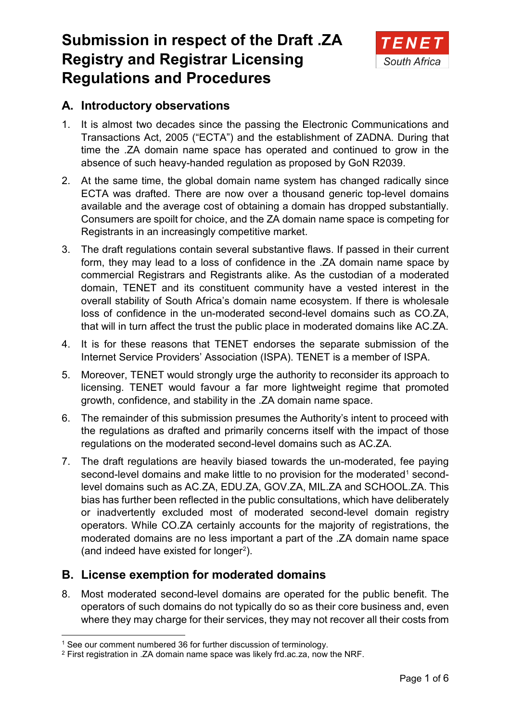# **Submission in respect of the Draft .ZA Registry and Registrar Licensing Regulations and Procedures**



# **A. Introductory observations**

- 1. It is almost two decades since the passing the Electronic Communications and Transactions Act, 2005 ("ECTA") and the establishment of ZADNA. During that time the .ZA domain name space has operated and continued to grow in the absence of such heavy-handed regulation as proposed by GoN R2039.
- 2. At the same time, the global domain name system has changed radically since ECTA was drafted. There are now over a thousand generic top-level domains available and the average cost of obtaining a domain has dropped substantially. Consumers are spoilt for choice, and the ZA domain name space is competing for Registrants in an increasingly competitive market.
- 3. The draft regulations contain several substantive flaws. If passed in their current form, they may lead to a loss of confidence in the .ZA domain name space by commercial Registrars and Registrants alike. As the custodian of a moderated domain, TENET and its constituent community have a vested interest in the overall stability of South Africa's domain name ecosystem. If there is wholesale loss of confidence in the un-moderated second-level domains such as CO.ZA, that will in turn affect the trust the public place in moderated domains like AC.ZA.
- 4. It is for these reasons that TENET endorses the separate submission of the Internet Service Providers' Association (ISPA). TENET is a member of ISPA.
- 5. Moreover, TENET would strongly urge the authority to reconsider its approach to licensing. TENET would favour a far more lightweight regime that promoted growth, confidence, and stability in the .ZA domain name space.
- 6. The remainder of this submission presumes the Authority's intent to proceed with the regulations as drafted and primarily concerns itself with the impact of those regulations on the moderated second-level domains such as AC.ZA.
- 7. The draft regulations are heavily biased towards the un-moderated, fee paying second-level domains and make little to no provision for the moderated<sup>[1](#page-1-0)</sup> secondlevel domains such as AC.ZA, EDU.ZA, GOV.ZA, MIL.ZA and SCHOOL.ZA. This bias has further been reflected in the public consultations, which have deliberately or inadvertently excluded most of moderated second-level domain registry operators. While CO.ZA certainly accounts for the majority of registrations, the moderated domains are no less important a part of the .ZA domain name space (and indeed have existed for longer<sup>[2](#page-1-1)</sup>).

# **B. License exemption for moderated domains**

8. Most moderated second-level domains are operated for the public benefit. The operators of such domains do not typically do so as their core business and, even where they may charge for their services, they may not recover all their costs from

<span id="page-1-0"></span><sup>&</sup>lt;sup>1</sup> See our comment numbered [36](#page-6-0) for further discussion of terminology.

<span id="page-1-1"></span><sup>2</sup> First registration in .ZA domain name space was likely frd.ac.za, now the NRF.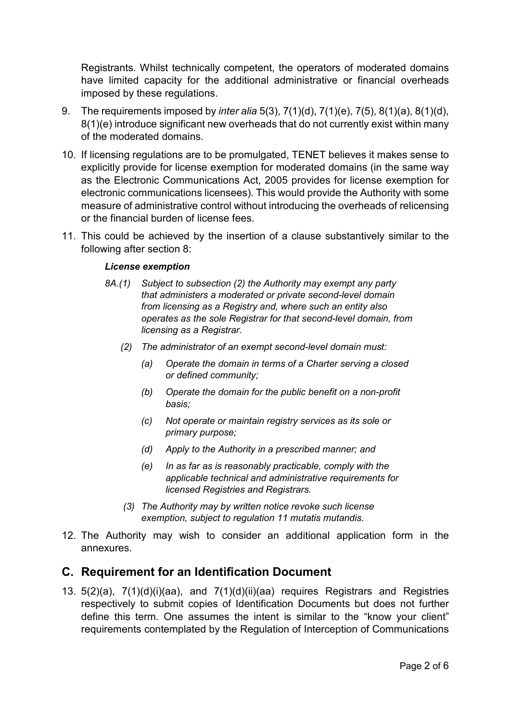Registrants. Whilst technically competent, the operators of moderated domains have limited capacity for the additional administrative or financial overheads imposed by these regulations.

- 9. The requirements imposed by *inter alia* 5(3), 7(1)(d), 7(1)(e), 7(5), 8(1)(a), 8(1)(d), 8(1)(e) introduce significant new overheads that do not currently exist within many of the moderated domains.
- <span id="page-2-0"></span>10. If licensing regulations are to be promulgated, TENET believes it makes sense to explicitly provide for license exemption for moderated domains (in the same way as the Electronic Communications Act, 2005 provides for license exemption for electronic communications licensees). This would provide the Authority with some measure of administrative control without introducing the overheads of relicensing or the financial burden of license fees.
- 11. This could be achieved by the insertion of a clause substantively similar to the following after section 8:

#### *License exemption*

- *8A.(1) Subject to subsection (2) the Authority may exempt any party that administers a moderated or private second-level domain from licensing as a Registry and, where such an entity also operates as the sole Registrar for that second-level domain, from licensing as a Registrar.*
	- *(2) The administrator of an exempt second-level domain must:*
		- *(a) Operate the domain in terms of a Charter serving a closed or defined community;*
		- *(b) Operate the domain for the public benefit on a non-profit basis;*
		- *(c) Not operate or maintain registry services as its sole or primary purpose;*
		- *(d) Apply to the Authority in a prescribed manner; and*
		- *(e) In as far as is reasonably practicable, comply with the applicable technical and administrative requirements for licensed Registries and Registrars.*
	- *(3) The Authority may by written notice revoke such license exemption, subject to regulation 11 mutatis mutandis.*
- 12. The Authority may wish to consider an additional application form in the annexures.

### **C. Requirement for an Identification Document**

13. 5(2)(a), 7(1)(d)(i)(aa), and 7(1)(d)(ii)(aa) requires Registrars and Registries respectively to submit copies of Identification Documents but does not further define this term. One assumes the intent is similar to the "know your client" requirements contemplated by the Regulation of Interception of Communications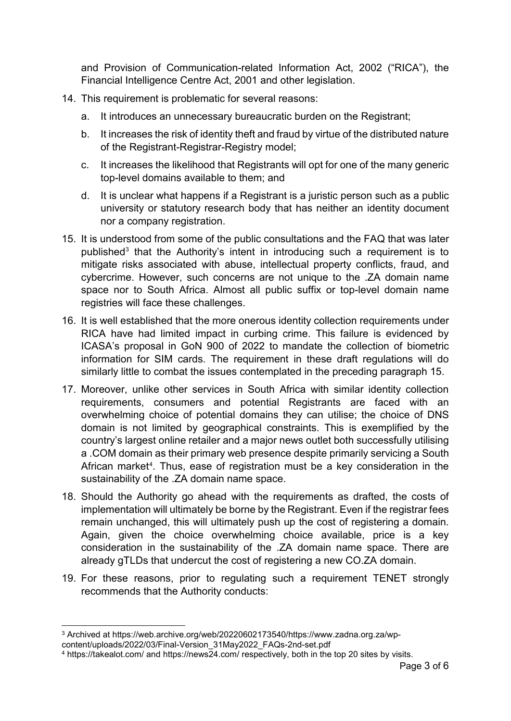and Provision of Communication-related Information Act, 2002 ("RICA"), the Financial Intelligence Centre Act, 2001 and other legislation.

- 14. This requirement is problematic for several reasons:
	- a. It introduces an unnecessary bureaucratic burden on the Registrant;
	- b. It increases the risk of identity theft and fraud by virtue of the distributed nature of the Registrant-Registrar-Registry model;
	- c. It increases the likelihood that Registrants will opt for one of the many generic top-level domains available to them; and
	- d. It is unclear what happens if a Registrant is a juristic person such as a public university or statutory research body that has neither an identity document nor a company registration.
- <span id="page-3-0"></span>15. It is understood from some of the public consultations and the FAQ that was later published<sup>[3](#page-3-1)</sup> that the Authority's intent in introducing such a requirement is to mitigate risks associated with abuse, intellectual property conflicts, fraud, and cybercrime. However, such concerns are not unique to the .ZA domain name space nor to South Africa. Almost all public suffix or top-level domain name registries will face these challenges.
- 16. It is well established that the more onerous identity collection requirements under RICA have had limited impact in curbing crime. This failure is evidenced by ICASA's proposal in GoN 900 of 2022 to mandate the collection of biometric information for SIM cards. The requirement in these draft regulations will do similarly little to combat the issues contemplated in the preceding paragraph [15.](#page-3-0)
- 17. Moreover, unlike other services in South Africa with similar identity collection requirements, consumers and potential Registrants are faced with an overwhelming choice of potential domains they can utilise; the choice of DNS domain is not limited by geographical constraints. This is exemplified by the country's largest online retailer and a major news outlet both successfully utilising a .COM domain as their primary web presence despite primarily servicing a South African market<sup>[4](#page-3-2)</sup>. Thus, ease of registration must be a key consideration in the sustainability of the .ZA domain name space.
- 18. Should the Authority go ahead with the requirements as drafted, the costs of implementation will ultimately be borne by the Registrant. Even if the registrar fees remain unchanged, this will ultimately push up the cost of registering a domain. Again, given the choice overwhelming choice available, price is a key consideration in the sustainability of the .ZA domain name space. There are already gTLDs that undercut the cost of registering a new CO.ZA domain.
- 19. For these reasons, prior to regulating such a requirement TENET strongly recommends that the Authority conducts:

<span id="page-3-1"></span> <sup>3</sup> Archived at https://web.archive.org/web/20220602173540/https://www.zadna.org.za/wp-

content/uploads/2022/03/Final-Version\_31May2022\_FAQs-2nd-set.pdf

<span id="page-3-2"></span><sup>4</sup> https://takealot.com/ and https://news24.com/ respectively, both in the top 20 sites by visits.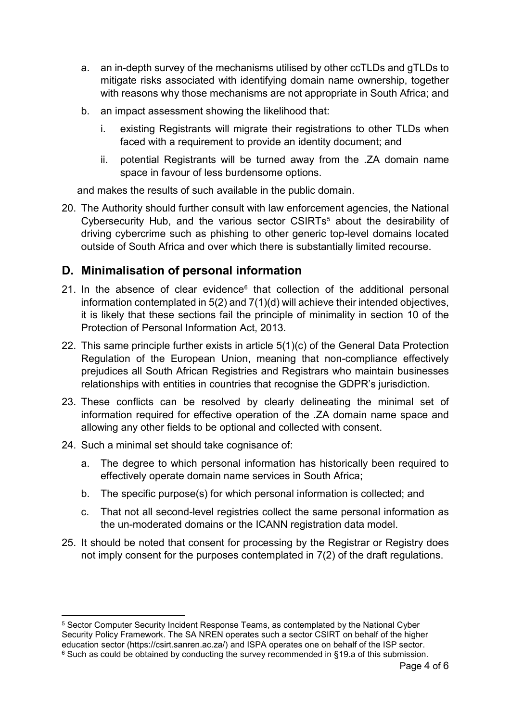- <span id="page-4-0"></span>a. an in-depth survey of the mechanisms utilised by other ccTLDs and gTLDs to mitigate risks associated with identifying domain name ownership, together with reasons why those mechanisms are not appropriate in South Africa; and
- b. an impact assessment showing the likelihood that:
	- i. existing Registrants will migrate their registrations to other TLDs when faced with a requirement to provide an identity document; and
	- ii. potential Registrants will be turned away from the .ZA domain name space in favour of less burdensome options.

and makes the results of such available in the public domain.

20. The Authority should further consult with law enforcement agencies, the National Cybersecurity Hub, and the various sector CSIRTs<sup>[5](#page-4-1)</sup> about the desirability of driving cybercrime such as phishing to other generic top-level domains located outside of South Africa and over which there is substantially limited recourse.

# **D. Minimalisation of personal information**

- 21. In the absence of clear evidence $6$  that collection of the additional personal information contemplated in 5(2) and 7(1)(d) will achieve their intended objectives, it is likely that these sections fail the principle of minimality in section 10 of the Protection of Personal Information Act, 2013.
- 22. This same principle further exists in article 5(1)(c) of the General Data Protection Regulation of the European Union, meaning that non-compliance effectively prejudices all South African Registries and Registrars who maintain businesses relationships with entities in countries that recognise the GDPR's jurisdiction.
- 23. These conflicts can be resolved by clearly delineating the minimal set of information required for effective operation of the .ZA domain name space and allowing any other fields to be optional and collected with consent.
- 24. Such a minimal set should take cognisance of:
	- a. The degree to which personal information has historically been required to effectively operate domain name services in South Africa;
	- b. The specific purpose(s) for which personal information is collected; and
	- c. That not all second-level registries collect the same personal information as the un-moderated domains or the ICANN registration data model.
- 25. It should be noted that consent for processing by the Registrar or Registry does not imply consent for the purposes contemplated in 7(2) of the draft regulations.

<span id="page-4-2"></span><span id="page-4-1"></span> <sup>5</sup> Sector Computer Security Incident Response Teams, as contemplated by the National Cyber Security Policy Framework. The SA NREN operates such a sector CSIRT on behalf of the higher education sector (https://csirt.sanren.ac.za/) and ISPA operates one on behalf of the ISP sector.  $6$  Such as could be obtained by conducting the survey recommended in [§19.a](#page-4-0) of this submission.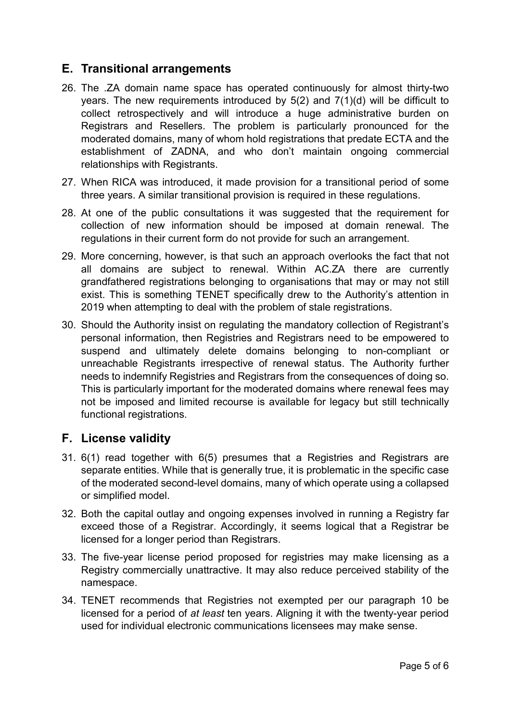## **E. Transitional arrangements**

- 26. The .ZA domain name space has operated continuously for almost thirty-two years. The new requirements introduced by 5(2) and 7(1)(d) will be difficult to collect retrospectively and will introduce a huge administrative burden on Registrars and Resellers. The problem is particularly pronounced for the moderated domains, many of whom hold registrations that predate ECTA and the establishment of ZADNA, and who don't maintain ongoing commercial relationships with Registrants.
- 27. When RICA was introduced, it made provision for a transitional period of some three years. A similar transitional provision is required in these regulations.
- 28. At one of the public consultations it was suggested that the requirement for collection of new information should be imposed at domain renewal. The regulations in their current form do not provide for such an arrangement.
- 29. More concerning, however, is that such an approach overlooks the fact that not all domains are subject to renewal. Within AC.ZA there are currently grandfathered registrations belonging to organisations that may or may not still exist. This is something TENET specifically drew to the Authority's attention in 2019 when attempting to deal with the problem of stale registrations.
- 30. Should the Authority insist on regulating the mandatory collection of Registrant's personal information, then Registries and Registrars need to be empowered to suspend and ultimately delete domains belonging to non-compliant or unreachable Registrants irrespective of renewal status. The Authority further needs to indemnify Registries and Registrars from the consequences of doing so. This is particularly important for the moderated domains where renewal fees may not be imposed and limited recourse is available for legacy but still technically functional registrations.

### **F. License validity**

- 31. 6(1) read together with 6(5) presumes that a Registries and Registrars are separate entities. While that is generally true, it is problematic in the specific case of the moderated second-level domains, many of which operate using a collapsed or simplified model.
- 32. Both the capital outlay and ongoing expenses involved in running a Registry far exceed those of a Registrar. Accordingly, it seems logical that a Registrar be licensed for a longer period than Registrars.
- 33. The five-year license period proposed for registries may make licensing as a Registry commercially unattractive. It may also reduce perceived stability of the namespace.
- 34. TENET recommends that Registries not exempted per our paragraph [10](#page-2-0) be licensed for a period of *at least* ten years. Aligning it with the twenty-year period used for individual electronic communications licensees may make sense.